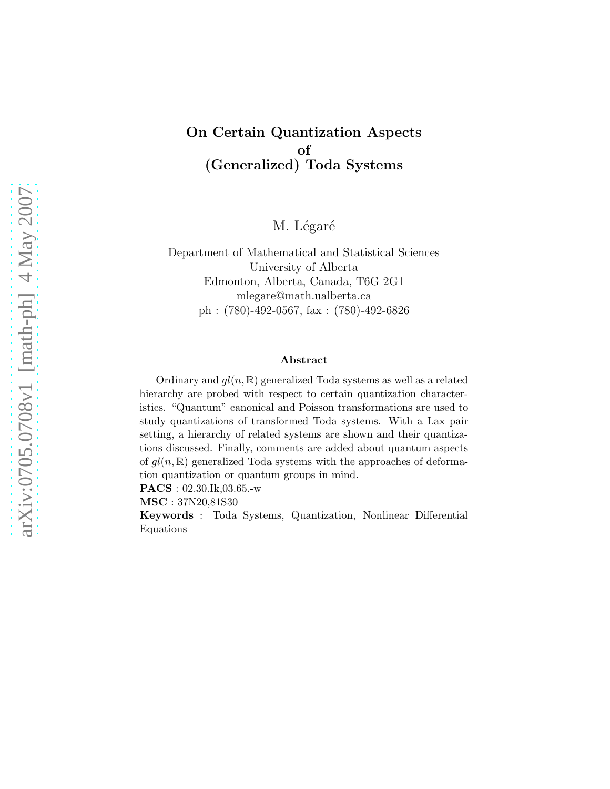# On Certain Quantization Aspects of (Generalized) Toda Systems

M. Légaré

Department of Mathematical and Statistical Sciences University of Alberta Edmonton, Alberta, Canada, T6G 2G1 mlegare@math.ualberta.ca ph : (780)-492-0567, fax : (780)-492-6826

#### Abstract

Ordinary and  $gl(n, \mathbb{R})$  generalized Toda systems as well as a related hierarchy are probed with respect to certain quantization characteristics. "Quantum" canonical and Poisson transformations are used to study quantizations of transformed Toda systems. With a Lax pair setting, a hierarchy of related systems are shown and their quantizations discussed. Finally, comments are added about quantum aspects of  $gl(n, \mathbb{R})$  generalized Toda systems with the approaches of deformation quantization or quantum groups in mind.

PACS : 02.30.Ik,03.65.-w

MSC : 37N20,81S30

Keywords : Toda Systems, Quantization, Nonlinear Differential Equations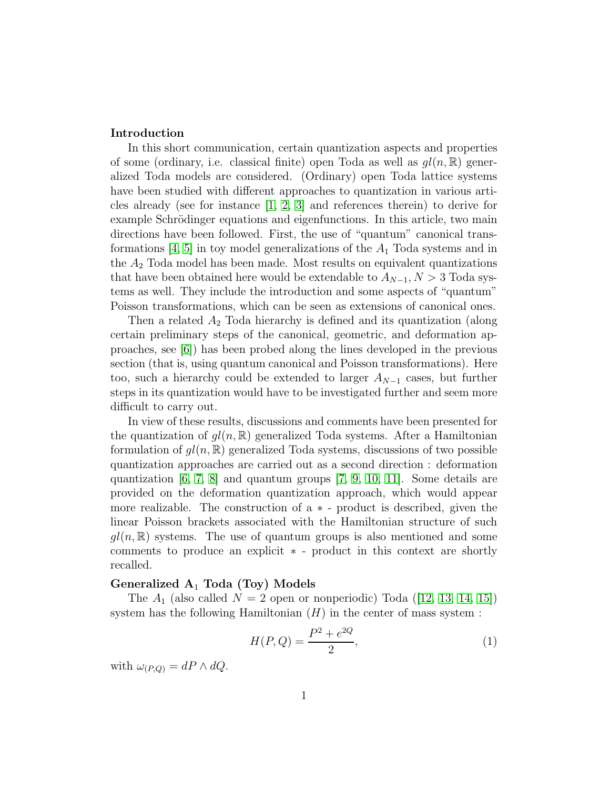## Introduction

In this short communication, certain quantization aspects and properties of some (ordinary, i.e. classical finite) open Toda as well as  $gl(n, \mathbb{R})$  generalized Toda models are considered. (Ordinary) open Toda lattice systems have been studied with different approaches to quantization in various articles already (see for instance [\[1,](#page-13-0) [2,](#page-13-1) [3\]](#page-14-0) and references therein) to derive for example Schrödinger equations and eigenfunctions. In this article, two main directions have been followed. First, the use of "quantum" canonical transformations  $[4, 5]$  $[4, 5]$  in toy model generalizations of the  $A_1$  Toda systems and in the  $A_2$  Toda model has been made. Most results on equivalent quantizations that have been obtained here would be extendable to  $A_{N-1}$ ,  $N > 3$  Toda systems as well. They include the introduction and some aspects of "quantum" Poisson transformations, which can be seen as extensions of canonical ones.

Then a related  $A_2$  Toda hierarchy is defined and its quantization (along certain preliminary steps of the canonical, geometric, and deformation approaches, see [\[6\]](#page-14-3)) has been probed along the lines developed in the previous section (that is, using quantum canonical and Poisson transformations). Here too, such a hierarchy could be extended to larger  $A_{N-1}$  cases, but further steps in its quantization would have to be investigated further and seem more difficult to carry out.

In view of these results, discussions and comments have been presented for the quantization of  $gl(n, \mathbb{R})$  generalized Toda systems. After a Hamiltonian formulation of  $gl(n, \mathbb{R})$  generalized Toda systems, discussions of two possible quantization approaches are carried out as a second direction : deformation quantization  $[6, 7, 8]$  $[6, 7, 8]$  $[6, 7, 8]$  and quantum groups  $[7, 9, 10, 11]$  $[7, 9, 10, 11]$  $[7, 9, 10, 11]$  $[7, 9, 10, 11]$ . Some details are provided on the deformation quantization approach, which would appear more realizable. The construction of a ∗ - product is described, given the linear Poisson brackets associated with the Hamiltonian structure of such  $gl(n, \mathbb{R})$  systems. The use of quantum groups is also mentioned and some comments to produce an explicit ∗ - product in this context are shortly recalled.

## Generalized  $A_1$  Toda (Toy) Models

The  $A_1$  (also called  $N = 2$  open or nonperiodic) Toda ([\[12,](#page-14-9) [13,](#page-14-10) [14,](#page-14-11) [15\]](#page-14-12)) system has the following Hamiltonian  $(H)$  in the center of mass system :

<span id="page-1-0"></span>
$$
H(P,Q) = \frac{P^2 + e^{2Q}}{2},\tag{1}
$$

with  $\omega_{(P,Q)} = dP \wedge dQ$ .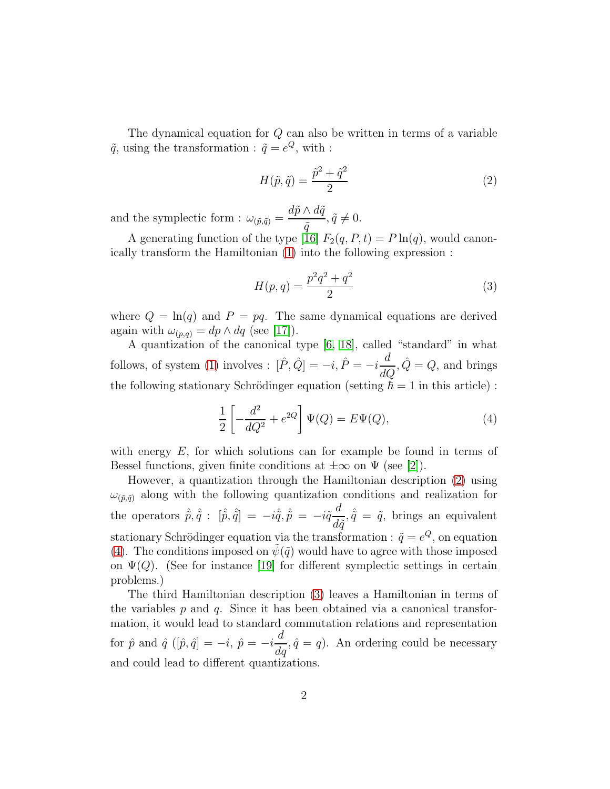The dynamical equation for Q can also be written in terms of a variable  $\tilde{q}$ , using the transformation :  $\tilde{q} = e^Q$ , with :

<span id="page-2-0"></span>
$$
H(\tilde{p}, \tilde{q}) = \frac{\tilde{p}^2 + \tilde{q}^2}{2} \tag{2}
$$

and the symplectic form :  $\omega_{(\tilde{p},\tilde{q})} =$  $d\tilde{p}\wedge d\tilde{q}$  $\tilde{q}$  $, \tilde{q} \neq 0.$ 

A generating function of the type [\[16\]](#page-14-13)  $F_2(q, P, t) = P \ln(q)$ , would canonically transform the Hamiltonian [\(1\)](#page-1-0) into the following expression :

<span id="page-2-2"></span>
$$
H(p,q) = \frac{p^2q^2 + q^2}{2} \tag{3}
$$

where  $Q = \ln(q)$  and  $P = pq$ . The same dynamical equations are derived again with  $\omega_{(p,q)} = dp \wedge dq$  (see [\[17\]](#page-14-14)).

A quantization of the canonical type [\[6,](#page-14-3) [18\]](#page-14-15), called "standard" in what follows, of system [\(1\)](#page-1-0) involves :  $[\hat{P}, \hat{Q}] = -i$ ,  $\hat{P} = -i \frac{d}{dQ}, \hat{Q} = Q$ , and brings the following stationary Schrödinger equation (setting  $\hbar = 1$  in this article) :

<span id="page-2-1"></span>
$$
\frac{1}{2}\left[-\frac{d^2}{dQ^2} + e^{2Q}\right]\Psi(Q) = E\Psi(Q),\tag{4}
$$

with energy  $E$ , for which solutions can for example be found in terms of Bessel functions, given finite conditions at  $\pm \infty$  on  $\Psi$  (see [\[2\]](#page-13-1)).

However, a quantization through the Hamiltonian description [\(2\)](#page-2-0) using  $\omega_{(\tilde{p},\tilde{q})}$  along with the following quantization conditions and realization for the operators  $\hat{\tilde{p}}, \hat{\tilde{q}}$  :  $[\hat{\tilde{p}}, \hat{\tilde{q}}] = -i\hat{\tilde{q}}, \hat{\tilde{p}} = -i\tilde{q}\frac{d}{dt}$  $d\tilde{q}$  $,\hat{\tilde{q}} = \tilde{q}$ , brings an equivalent stationary Schrödinger equation via the transformation :  $\tilde{q} = e^{Q}$ , on equation [\(4\)](#page-2-1). The conditions imposed on  $\psi(\tilde{q})$  would have to agree with those imposed on  $\Psi(Q)$ . (See for instance [\[19\]](#page-14-16) for different symplectic settings in certain problems.)

The third Hamiltonian description [\(3\)](#page-2-2) leaves a Hamiltonian in terms of the variables  $p$  and  $q$ . Since it has been obtained via a canonical transformation, it would lead to standard commutation relations and representation for  $\hat{p}$  and  $\hat{q}$  ([ $\hat{p}, \hat{q}$ ] =  $-i$ ,  $\hat{p}$  =  $-i$ d  $\frac{d}{dq}$ ,  $\hat{q} = q$ ). An ordering could be necessary and could lead to different quantizations.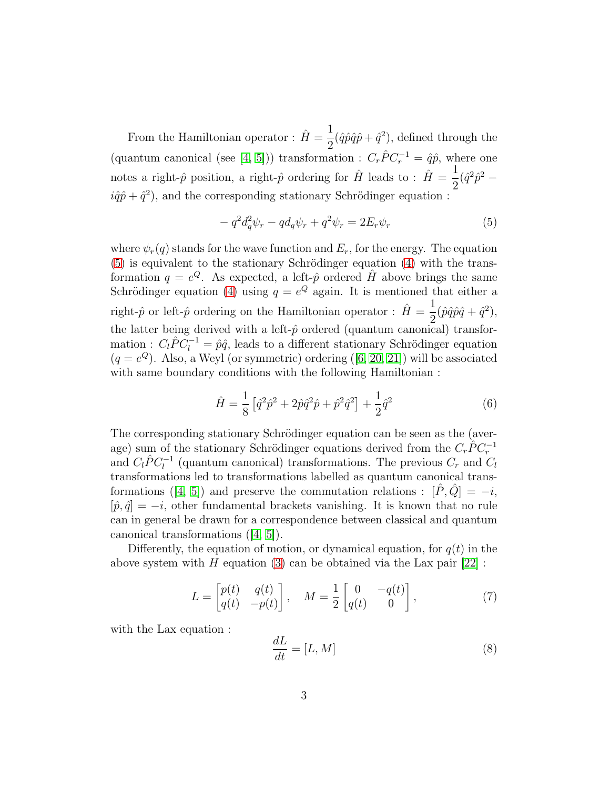From the Hamiltonian operator :  $\hat{H} = \frac{1}{2}$ 2  $(\hat{q}\hat{p}\hat{q}\hat{p} + \hat{q}^2)$ , defined through the (quantum canonical (see [\[4,](#page-14-1) [5\]](#page-14-2))) transformation :  $C_r \hat{P} C_r^{-1} = \hat{q}\hat{p}$ , where one notes a right- $\hat{p}$  position, a right- $\hat{p}$  ordering for  $\hat{H}$  leads to :  $\hat{H} = \frac{1}{2}$ 2  $(\hat{q}^2 \hat{p}^2 - )$  $i\hat{q}\hat{p} + \hat{q}^2$ , and the corresponding stationary Schrödinger equation :

<span id="page-3-0"></span>
$$
-q^2 d_q^2 \psi_r - q d_q \psi_r + q^2 \psi_r = 2E_r \psi_r \tag{5}
$$

where  $\psi_r(q)$  stands for the wave function and  $E_r$ , for the energy. The equation  $(5)$  is equivalent to the stationary Schrödinger equation  $(4)$  with the transformation  $q = e^{Q}$ . As expected, a left- $\hat{p}$  ordered  $\hat{H}$  above brings the same Schrödinger equation [\(4\)](#page-2-1) using  $q = e^Q$  again. It is mentioned that either a right- $\hat{p}$  or left- $\hat{p}$  ordering on the Hamiltonian operator :  $\hat{H} = \frac{1}{2}$ 2  $(\hat{p}\hat{q}\hat{p}\hat{q} + \hat{q}^2),$ the latter being derived with a left- $\hat{p}$  ordered (quantum canonical) transformation :  $C_l \hat{P} C_l^{-1} = \hat{p}\hat{q}$ , leads to a different stationary Schrödinger equation  $(q = e^Q)$ . Also, a Weyl (or symmetric) ordering ([\[6,](#page-14-3) [20,](#page-15-0) [21\]](#page-15-1)) will be associated with same boundary conditions with the following Hamiltonian :

$$
\hat{H} = \frac{1}{8} \left[ \hat{q}^2 \hat{p}^2 + 2\hat{p}\hat{q}^2 \hat{p} + \hat{p}^2 \hat{q}^2 \right] + \frac{1}{2} \hat{q}^2 \tag{6}
$$

The corresponding stationary Schrödinger equation can be seen as the (average) sum of the stationary Schrödinger equations derived from the  $C_r \tilde{P} C_r^{-1}$ and  $C_l \hat{P} C_l^{-1}$  (quantum canonical) transformations. The previous  $C_r$  and  $C_l$ transformations led to transformations labelled as quantum canonical trans-formations ([\[4,](#page-14-1) [5\]](#page-14-2)) and preserve the commutation relations :  $[\hat{P}, \hat{Q}] = -i$ ,  $[\hat{p}, \hat{q}] = -i$ , other fundamental brackets vanishing. It is known that no rule can in general be drawn for a correspondence between classical and quantum canonical transformations ([\[4,](#page-14-1) [5\]](#page-14-2)).

Differently, the equation of motion, or dynamical equation, for  $q(t)$  in the above system with H equation [\(3\)](#page-2-2) can be obtained via the Lax pair  $[22]$ :

<span id="page-3-1"></span>
$$
L = \begin{bmatrix} p(t) & q(t) \\ q(t) & -p(t) \end{bmatrix}, \quad M = \frac{1}{2} \begin{bmatrix} 0 & -q(t) \\ q(t) & 0 \end{bmatrix}, \tag{7}
$$

with the Lax equation :

$$
\frac{dL}{dt} = [L, M] \tag{8}
$$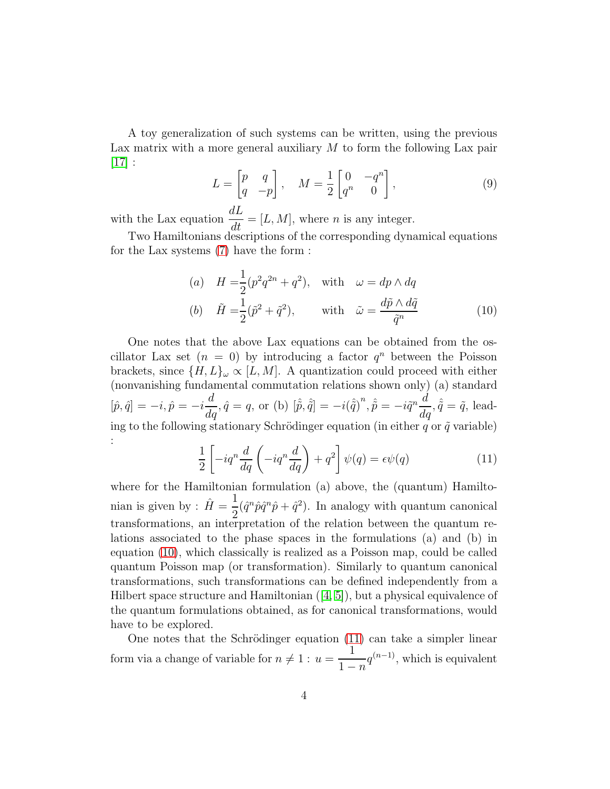A toy generalization of such systems can be written, using the previous Lax matrix with a more general auxiliary  $M$  to form the following Lax pair  $|17|$  :

$$
L = \begin{bmatrix} p & q \\ q & -p \end{bmatrix}, \quad M = \frac{1}{2} \begin{bmatrix} 0 & -q^n \\ q^n & 0 \end{bmatrix}, \tag{9}
$$

with the Lax equation  $\frac{dL}{dt} = [L, M]$ , where *n* is any integer.

Two Hamiltonians descriptions of the corresponding dynamical equations for the Lax systems [\(7\)](#page-3-1) have the form :

<span id="page-4-0"></span>(a) 
$$
H = \frac{1}{2}(p^2q^{2n} + q^2)
$$
, with  $\omega = dp \wedge dq$   
\n(b)  $\tilde{H} = \frac{1}{2}(\tilde{p}^2 + \tilde{q}^2)$ , with  $\tilde{\omega} = \frac{d\tilde{p} \wedge d\tilde{q}}{\tilde{q}^n}$  (10)

One notes that the above Lax equations can be obtained from the oscillator Lax set  $(n = 0)$  by introducing a factor  $q^n$  between the Poisson brackets, since  $\{H, L\}_{\omega} \propto [L, M]$ . A quantization could proceed with either (nonvanishing fundamental commutation relations shown only) (a) standard  $[\hat{p}, \hat{q}] = -i, \hat{p} = -i$  $\frac{d}{dq}$ ,  $\hat{q} = q$ , or (b)  $[\hat{\hat{p}}, \hat{\hat{q}}] = -i(\hat{\hat{q}})^n$ ,  $\hat{\hat{p}} = -i\tilde{q}^n \frac{d}{dq}$ ,  $\hat{\hat{q}} = \tilde{q}$ , leading to the following stationary Schrödinger equation (in either  $q$  or  $\tilde{q}$  variable) :

<span id="page-4-1"></span>
$$
\frac{1}{2} \left[ -iq^n \frac{d}{dq} \left( -iq^n \frac{d}{dq} \right) + q^2 \right] \psi(q) = \epsilon \psi(q) \tag{11}
$$

where for the Hamiltonian formulation (a) above, the (quantum) Hamiltonian is given by :  $\hat{H} = \frac{1}{2}$ 2  $(\hat{q}^n \hat{p} \hat{q}^n \hat{p} + \hat{q}^2)$ . In analogy with quantum canonical transformations, an interpretation of the relation between the quantum relations associated to the phase spaces in the formulations (a) and (b) in equation [\(10\)](#page-4-0), which classically is realized as a Poisson map, could be called quantum Poisson map (or transformation). Similarly to quantum canonical transformations, such transformations can be defined independently from a Hilbert space structure and Hamiltonian  $([4, 5])$  $([4, 5])$  $([4, 5])$  $([4, 5])$ , but a physical equivalence of the quantum formulations obtained, as for canonical transformations, would have to be explored.

One notes that the Schrödinger equation  $(11)$  can take a simpler linear form via a change of variable for  $n \neq 1 : u = \frac{1}{1}$  $1 - n$  $q^{(n-1)}$ , which is equivalent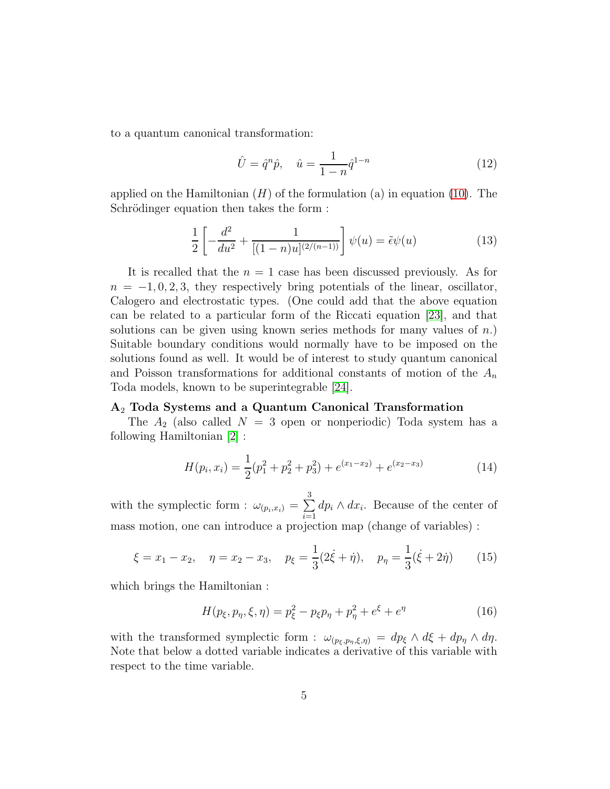to a quantum canonical transformation:

$$
\hat{U} = \hat{q}^n \hat{p}, \quad \hat{u} = \frac{1}{1 - n} \hat{q}^{1 - n}
$$
\n(12)

applied on the Hamiltonian  $(H)$  of the formulation (a) in equation [\(10\)](#page-4-0). The Schrödinger equation then takes the form :

$$
\frac{1}{2} \left[ -\frac{d^2}{du^2} + \frac{1}{[(1-n)u]^{(2/(n-1))}} \right] \psi(u) = \tilde{\epsilon}\psi(u)
$$
\n(13)

It is recalled that the  $n = 1$  case has been discussed previously. As for  $n = -1, 0, 2, 3$ , they respectively bring potentials of the linear, oscillator, Calogero and electrostatic types. (One could add that the above equation can be related to a particular form of the Riccati equation [\[23\]](#page-15-3), and that solutions can be given using known series methods for many values of  $n$ . Suitable boundary conditions would normally have to be imposed on the solutions found as well. It would be of interest to study quantum canonical and Poisson transformations for additional constants of motion of the  $A_n$ Toda models, known to be superintegrable [\[24\]](#page-15-4).

## A<sup>2</sup> Toda Systems and a Quantum Canonical Transformation

The  $A_2$  (also called  $N = 3$  open or nonperiodic) Toda system has a following Hamiltonian [\[2\]](#page-13-1) :

<span id="page-5-0"></span>
$$
H(p_i, x_i) = \frac{1}{2}(p_1^2 + p_2^2 + p_3^2) + e^{(x_1 - x_2)} + e^{(x_2 - x_3)}
$$
\n(14)

with the symplectic form :  $\omega_{(p_i,x_i)} = \sum$ 3  $\frac{i=1}{i}$  $dp_i \wedge dx_i$ . Because of the center of mass motion, one can introduce a projection map (change of variables) :

$$
\xi = x_1 - x_2, \quad \eta = x_2 - x_3, \quad p_{\xi} = \frac{1}{3}(2\dot{\xi} + \dot{\eta}), \quad p_{\eta} = \frac{1}{3}(\dot{\xi} + 2\dot{\eta})
$$
 (15)

which brings the Hamiltonian :

$$
H(p_{\xi}, p_{\eta}, \xi, \eta) = p_{\xi}^{2} - p_{\xi} p_{\eta} + p_{\eta}^{2} + e^{\xi} + e^{\eta}
$$
 (16)

with the transformed symplectic form :  $\omega_{(p_{\xi},p_{\eta},\xi,\eta)} = dp_{\xi} \wedge d\xi + dp_{\eta} \wedge d\eta$ . Note that below a dotted variable indicates a derivative of this variable with respect to the time variable.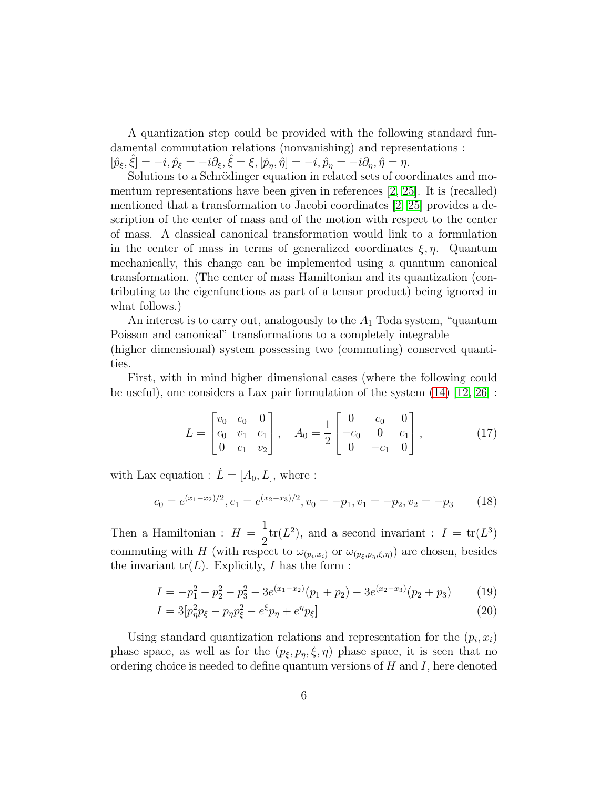A quantization step could be provided with the following standard fundamental commutation relations (nonvanishing) and representations :

 $[\hat{p}_{\xi}, \hat{\xi}] = -i, \hat{p}_{\xi} = -i\partial_{\xi}, \hat{\xi} = \xi, [\hat{p}_{\eta}, \hat{\eta}] = -i, \hat{p}_{\eta} = -i\partial_{\eta}, \hat{\eta} = \eta.$ Solutions to a Schrödinger equation in related sets of coordinates and mo-

mentum representations have been given in references [\[2,](#page-13-1) [25\]](#page-15-5). It is (recalled) mentioned that a transformation to Jacobi coordinates [\[2,](#page-13-1) [25\]](#page-15-5) provides a description of the center of mass and of the motion with respect to the center of mass. A classical canonical transformation would link to a formulation in the center of mass in terms of generalized coordinates  $\xi, \eta$ . Quantum mechanically, this change can be implemented using a quantum canonical transformation. (The center of mass Hamiltonian and its quantization (contributing to the eigenfunctions as part of a tensor product) being ignored in what follows.)

An interest is to carry out, analogously to the  $A_1$  Toda system, "quantum" Poisson and canonical" transformations to a completely integrable

(higher dimensional) system possessing two (commuting) conserved quantities.

First, with in mind higher dimensional cases (where the following could be useful), one considers a Lax pair formulation of the system  $(14)$  [\[12,](#page-14-9) [26\]](#page-15-6) :

<span id="page-6-0"></span>
$$
L = \begin{bmatrix} v_0 & c_0 & 0 \\ c_0 & v_1 & c_1 \\ 0 & c_1 & v_2 \end{bmatrix}, \quad A_0 = \frac{1}{2} \begin{bmatrix} 0 & c_0 & 0 \\ -c_0 & 0 & c_1 \\ 0 & -c_1 & 0 \end{bmatrix}, \quad (17)
$$

with Lax equation :  $\dot{L} = [A_0, L]$ , where :

$$
c_0 = e^{(x_1 - x_2)/2}, c_1 = e^{(x_2 - x_3)/2}, v_0 = -p_1, v_1 = -p_2, v_2 = -p_3 \tag{18}
$$

Then a Hamiltonian :  $H = \frac{1}{2}$ 2  $\text{tr}(L^2)$ , and a second invariant :  $I = \text{tr}(L^3)$ commuting with H (with respect to  $\omega_{(p_i,x_i)}$  or  $\omega_{(p_{\xi},p_{\eta},\xi,\eta)})$  are chosen, besides the invariant  $tr(L)$ . Explicitly, I has the form :

$$
I = -p_1^2 - p_2^2 - p_3^2 - 3e^{(x_1 - x_2)}(p_1 + p_2) - 3e^{(x_2 - x_3)}(p_2 + p_3)
$$
 (19)

$$
I = 3[p_{\eta}^{2}p_{\xi} - p_{\eta}p_{\xi}^{2} - e^{\xi}p_{\eta} + e^{\eta}p_{\xi}]
$$
\n(20)

Using standard quantization relations and representation for the  $(p_i, x_i)$ phase space, as well as for the  $(p_{\xi}, p_n, \xi, \eta)$  phase space, it is seen that no ordering choice is needed to define quantum versions of  $H$  and  $I$ , here denoted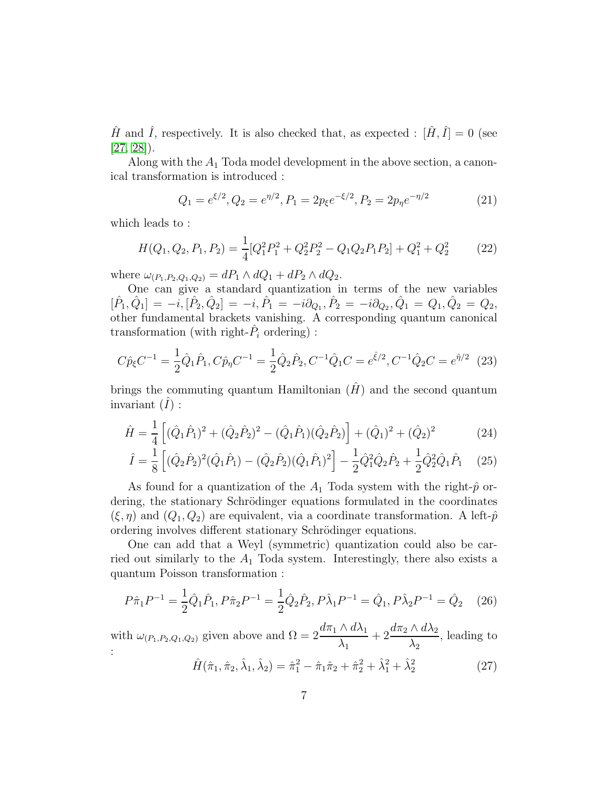$\hat{H}$  and  $\hat{I}$ , respectively. It is also checked that, as expected :  $[\hat{H}, \hat{I}] = 0$  (see [\[27,](#page-15-7) [28\]](#page-15-8)).

Along with the  $A_1$  Toda model development in the above section, a canonical transformation is introduced :

$$
Q_1 = e^{\xi/2}, Q_2 = e^{\eta/2}, P_1 = 2p_{\xi}e^{-\xi/2}, P_2 = 2p_{\eta}e^{-\eta/2}
$$
 (21)

which leads to :

$$
H(Q_1, Q_2, P_1, P_2) = \frac{1}{4} [Q_1^2 P_1^2 + Q_2^2 P_2^2 - Q_1 Q_2 P_1 P_2] + Q_1^2 + Q_2^2 \tag{22}
$$

where  $\omega_{(P_1, P_2, Q_1, Q_2)} = dP_1 \wedge dQ_1 + dP_2 \wedge dQ_2$ .

One can give a standard quantization in terms of the new variables  $[\hat{P}_1,\hat{Q}_1] = -i, [\hat{P}_2,\hat{Q}_2] = -i, \hat{P}_1 = -i\partial_{Q_1}, \hat{P}_2 = -i\partial_{Q_2}, \hat{Q}_1 = Q_1, \hat{Q}_2 = Q_2,$ other fundamental brackets vanishing. A corresponding quantum canonical transformation (with right- $\hat{P}_i$  ordering) :

<span id="page-7-0"></span>
$$
C\hat{p}_{\xi}C^{-1} = \frac{1}{2}\hat{Q}_1\hat{P}_1, C\hat{p}_{\eta}C^{-1} = \frac{1}{2}\hat{Q}_2\hat{P}_2, C^{-1}\hat{Q}_1C = e^{\hat{\xi}/2}, C^{-1}\hat{Q}_2C = e^{\hat{\eta}/2}
$$
 (23)

brings the commuting quantum Hamiltonian  $(\hat{H})$  and the second quantum invariant  $(I)$ :

$$
\hat{H} = \frac{1}{4} \left[ (\hat{Q}_1 \hat{P}_1)^2 + (\hat{Q}_2 \hat{P}_2)^2 - (\hat{Q}_1 \hat{P}_1)(\hat{Q}_2 \hat{P}_2) \right] + (\hat{Q}_1)^2 + (\hat{Q}_2)^2 \tag{24}
$$

$$
\hat{I} = \frac{1}{8} \left[ (\hat{Q}_2 \hat{P}_2)^2 (\hat{Q}_1 \hat{P}_1) - (\hat{Q}_2 \hat{P}_2) (\hat{Q}_1 \hat{P}_1)^2 \right] - \frac{1}{2} \hat{Q}_1^2 \hat{Q}_2 \hat{P}_2 + \frac{1}{2} \hat{Q}_2^2 \hat{Q}_1 \hat{P}_1 \tag{25}
$$

As found for a quantization of the  $A_1$  Toda system with the right- $\hat{p}$  ordering, the stationary Schrödinger equations formulated in the coordinates  $(\xi, \eta)$  and  $(Q_1, Q_2)$  are equivalent, via a coordinate transformation. A left- $\hat{p}$ ordering involves different stationary Schrödinger equations.

One can add that a Weyl (symmetric) quantization could also be carried out similarly to the  $A_1$  Toda system. Interestingly, there also exists a quantum Poisson transformation :

$$
P\hat{\pi}_1 P^{-1} = \frac{1}{2} \hat{Q}_1 \hat{P}_1, P \hat{\pi}_2 P^{-1} = \frac{1}{2} \hat{Q}_2 \hat{P}_2, P \hat{\lambda}_1 P^{-1} = \hat{Q}_1, P \hat{\lambda}_2 P^{-1} = \hat{Q}_2 \quad (26)
$$

with  $\omega_{(P_1,P_2,Q_1,Q_2)}$  given above and  $\Omega = 2 \frac{d \pi_1 \wedge d \lambda_1}{\lambda_2}$  $\lambda_1$  $+2\frac{d\pi_2\wedge d\lambda_2}{\sqrt{2}}$  $\lambda_2$ , leading to :

$$
\hat{H}(\hat{\pi}_1, \hat{\pi}_2, \hat{\lambda}_1, \hat{\lambda}_2) = \hat{\pi}_1^2 - \hat{\pi}_1 \hat{\pi}_2 + \hat{\pi}_2^2 + \hat{\lambda}_1^2 + \hat{\lambda}_2^2 \tag{27}
$$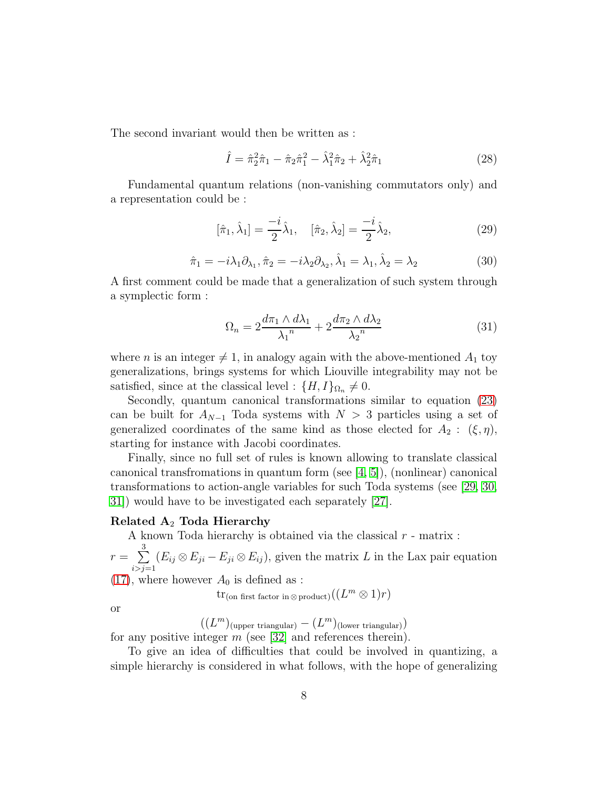The second invariant would then be written as :

$$
\hat{I} = \hat{\pi}_2^2 \hat{\pi}_1 - \hat{\pi}_2 \hat{\pi}_1^2 - \hat{\lambda}_1^2 \hat{\pi}_2 + \hat{\lambda}_2^2 \hat{\pi}_1 \tag{28}
$$

Fundamental quantum relations (non-vanishing commutators only) and a representation could be :

$$
[\hat{\pi}_1, \hat{\lambda}_1] = \frac{-i}{2} \hat{\lambda}_1, \quad [\hat{\pi}_2, \hat{\lambda}_2] = \frac{-i}{2} \hat{\lambda}_2,
$$
 (29)

$$
\hat{\pi}_1 = -i\lambda_1 \partial_{\lambda_1}, \hat{\pi}_2 = -i\lambda_2 \partial_{\lambda_2}, \hat{\lambda}_1 = \lambda_1, \hat{\lambda}_2 = \lambda_2
$$
\n(30)

A first comment could be made that a generalization of such system through a symplectic form :

$$
\Omega_n = 2\frac{d\pi_1 \wedge d\lambda_1}{\lambda_1^n} + 2\frac{d\pi_2 \wedge d\lambda_2}{\lambda_2^n} \tag{31}
$$

where *n* is an integer  $\neq$  1, in analogy again with the above-mentioned  $A_1$  toy generalizations, brings systems for which Liouville integrability may not be satisfied, since at the classical level :  $\{H, I\}_{\Omega_n} \neq 0$ .

Secondly, quantum canonical transformations similar to equation [\(23\)](#page-7-0) can be built for  $A_{N-1}$  Toda systems with  $N > 3$  particles using a set of generalized coordinates of the same kind as those elected for  $A_2: (\xi, \eta)$ , starting for instance with Jacobi coordinates.

Finally, since no full set of rules is known allowing to translate classical canonical transfromations in quantum form (see [\[4,](#page-14-1) [5\]](#page-14-2)), (nonlinear) canonical transformations to action-angle variables for such Toda systems (see [\[29,](#page-15-9) [30,](#page-15-10) [31\]](#page-15-11)) would have to be investigated each separately [\[27\]](#page-15-7).

## Related  $A_2$  Toda Hierarchy

A known Toda hierarchy is obtained via the classical  $r$  - matrix :

 $r = \sum$ 3  $i > j = 1$  $(E_{ij} \otimes E_{ji} - E_{ji} \otimes E_{ij})$ , given the matrix L in the Lax pair equation

[\(17\)](#page-6-0), where however  $A_0$  is defined as :

 $\mathrm{tr}_{(\mathrm{on \; first \; factor \; in} \otimes \mathrm{product})}((L^m \otimes 1)r)$ 

or

 $((L^m)_{\text{(upper triangular)}} - (L^m)_{\text{(lower triangular)}})$ 

for any positive integer  $m$  (see [\[32\]](#page-15-12) and references therein).

To give an idea of difficulties that could be involved in quantizing, a simple hierarchy is considered in what follows, with the hope of generalizing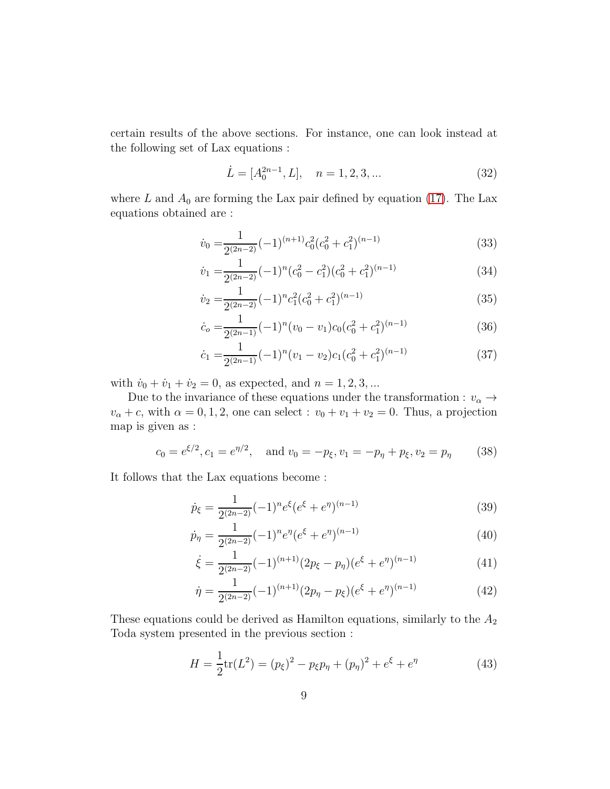certain results of the above sections. For instance, one can look instead at the following set of Lax equations :

$$
\dot{L} = [A_0^{2n-1}, L], \quad n = 1, 2, 3, \dots
$$
\n(32)

where L and  $A_0$  are forming the Lax pair defined by equation [\(17\)](#page-6-0). The Lax equations obtained are :

$$
\dot{v}_0 = \frac{1}{2^{(2n-2)}} (-1)^{(n+1)} c_0^2 (c_0^2 + c_1^2)^{(n-1)}
$$
\n(33)

$$
\dot{v}_1 = \frac{1}{2^{(2n-2)}} (-1)^n (c_0^2 - c_1^2) (c_0^2 + c_1^2)^{(n-1)}
$$
\n(34)

$$
\dot{v}_2 = \frac{1}{2^{(2n-2)}} (-1)^n c_1^2 (c_0^2 + c_1^2)^{(n-1)}
$$
\n(35)

$$
\dot{c}_o = \frac{1}{2^{(2n-1)}} (-1)^n (v_0 - v_1) c_0 (c_0^2 + c_1^2)^{(n-1)}
$$
\n(36)

$$
\dot{c}_1 = \frac{1}{2^{(2n-1)}} (-1)^n (v_1 - v_2) c_1 (c_0^2 + c_1^2)^{(n-1)}
$$
\n(37)

with  $\dot{v}_0 + \dot{v}_1 + \dot{v}_2 = 0$ , as expected, and  $n = 1, 2, 3, ...$ 

Due to the invariance of these equations under the transformation :  $v_\alpha \rightarrow$  $v_{\alpha} + c$ , with  $\alpha = 0, 1, 2$ , one can select :  $v_0 + v_1 + v_2 = 0$ . Thus, a projection map is given as :

$$
c_0 = e^{\xi/2}, c_1 = e^{\eta/2}, \text{ and } v_0 = -p_{\xi}, v_1 = -p_{\eta} + p_{\xi}, v_2 = p_{\eta}
$$
 (38)

It follows that the Lax equations become :

$$
\dot{p}_{\xi} = \frac{1}{2^{(2n-2)}} (-1)^n e^{\xi} (e^{\xi} + e^{\eta})^{(n-1)}
$$
\n(39)

$$
\dot{p}_{\eta} = \frac{1}{2^{(2n-2)}} (-1)^n e^{\eta} (e^{\xi} + e^{\eta})^{(n-1)}
$$
\n(40)

$$
\dot{\xi} = \frac{1}{2^{(2n-2)}} (-1)^{(n+1)} (2p_{\xi} - p_{\eta})(e^{\xi} + e^{\eta})^{(n-1)}
$$
(41)

$$
\dot{\eta} = \frac{1}{2^{(2n-2)}} (-1)^{(n+1)} (2p_{\eta} - p_{\xi})(e^{\xi} + e^{\eta})^{(n-1)}
$$
(42)

These equations could be derived as Hamilton equations, similarly to the  $A_2$ Toda system presented in the previous section :

$$
H = \frac{1}{2} \text{tr}(L^2) = (p_{\xi})^2 - p_{\xi} p_{\eta} + (p_{\eta})^2 + e^{\xi} + e^{\eta}
$$
 (43)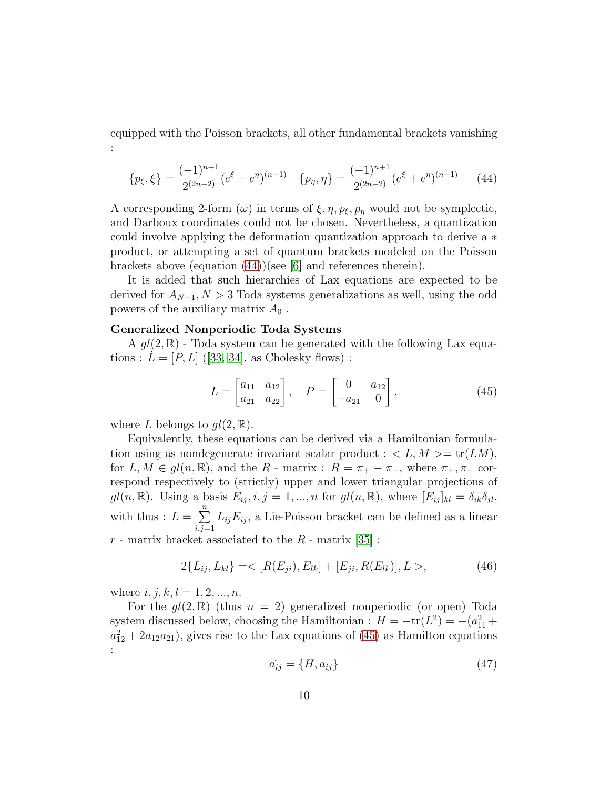equipped with the Poisson brackets, all other fundamental brackets vanishing

<span id="page-10-0"></span>
$$
\{p_{\xi}, \xi\} = \frac{(-1)^{n+1}}{2^{(2n-2)}} (e^{\xi} + e^{\eta})^{(n-1)} \quad \{p_{\eta}, \eta\} = \frac{(-1)^{n+1}}{2^{(2n-2)}} (e^{\xi} + e^{\eta})^{(n-1)} \tag{44}
$$

A corresponding 2-form (ω) in terms of  $\xi, \eta, p_{\xi}, p_{\eta}$  would not be symplectic, and Darboux coordinates could not be chosen. Nevertheless, a quantization could involve applying the deformation quantization approach to derive a ∗ product, or attempting a set of quantum brackets modeled on the Poisson brackets above (equation [\(44\)](#page-10-0))(see [\[6\]](#page-14-3) and references therein).

It is added that such hierarchies of Lax equations are expected to be derived for  $A_{N-1}$ ,  $N > 3$  Toda systems generalizations as well, using the odd powers of the auxiliary matrix  $A_0$ .

### Generalized Nonperiodic Toda Systems

A  $gl(2,\mathbb{R})$  - Toda system can be generated with the following Lax equations :  $L = [P, L]$  ([\[33,](#page-15-13) [34\]](#page-16-0), as Cholesky flows) :

<span id="page-10-1"></span>
$$
L = \begin{bmatrix} a_{11} & a_{12} \\ a_{21} & a_{22} \end{bmatrix}, \quad P = \begin{bmatrix} 0 & a_{12} \\ -a_{21} & 0 \end{bmatrix}, \tag{45}
$$

where L belongs to  $ql(2,\mathbb{R})$ .

:

Equivalently, these equations can be derived via a Hamiltonian formulation using as nondegenerate invariant scalar product :  $\langle L, M \rangle = \text{tr}(LM)$ , for  $L, M \in gl(n, \mathbb{R})$ , and the R - matrix :  $R = \pi_+ - \pi_-$ , where  $\pi_+, \pi_-$  correspond respectively to (strictly) upper and lower triangular projections of  $gl(n, \mathbb{R})$ . Using a basis  $E_{ij}$ ,  $i, j = 1, ..., n$  for  $gl(n, \mathbb{R})$ , where  $[E_{ij}]_{kl} = \delta_{ik}\delta_{jl}$ , with thus :  $L = \sum_{i=1}^{n}$  $i,j=1$  $L_{ij}E_{ij}$ , a Lie-Poisson bracket can be defined as a linear  $r$  - matrix bracket associated to the  $R$  - matrix [\[35\]](#page-16-1) :

<span id="page-10-2"></span>
$$
2\{L_{ij}, L_{kl}\} = \langle [R(E_{ji}), E_{lk}] + [E_{ji}, R(E_{lk})], L \rangle, \tag{46}
$$

where  $i, j, k, l = 1, 2, ..., n$ .

For the  $gl(2,\mathbb{R})$  (thus  $n = 2$ ) generalized nonperiodic (or open) Toda system discussed below, choosing the Hamiltonian :  $H = -\text{tr}(L^2) = -(a_{11}^2 +$  $a_{12}^2 + 2a_{12}a_{21}$ , gives rise to the Lax equations of [\(45\)](#page-10-1) as Hamilton equations :

$$
\dot{a_{ij}} = \{H, a_{ij}\}\tag{47}
$$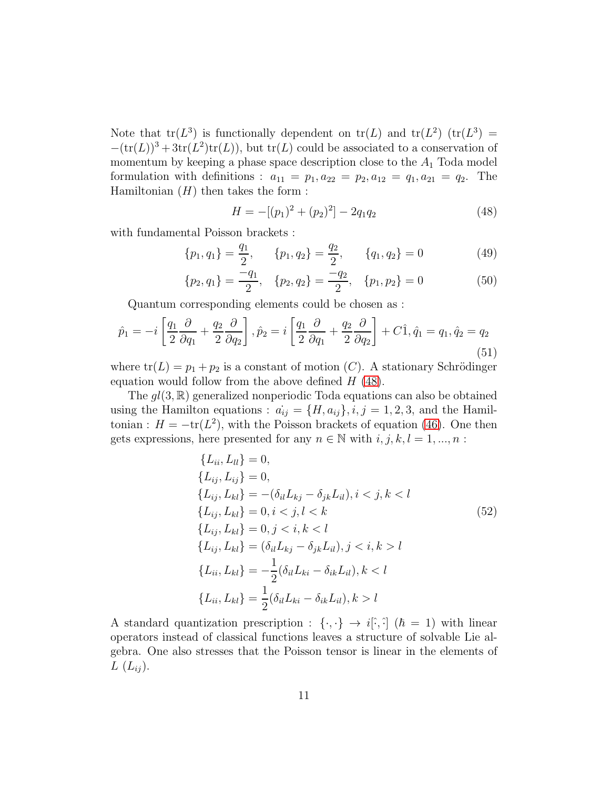Note that  $tr(L^3)$  is functionally dependent on  $tr(L)$  and  $tr(L^2)$   $(tr(L^3) =$  $-(tr(L))^3 + 3tr(L^2)tr(L)$ , but  $tr(L)$  could be associated to a conservation of momentum by keeping a phase space description close to the  $A_1$  Toda model formulation with definitions :  $a_{11} = p_1, a_{22} = p_2, a_{12} = q_1, a_{21} = q_2$ . The Hamiltonian  $(H)$  then takes the form :

<span id="page-11-0"></span>
$$
H = -[(p_1)^2 + (p_2)^2] - 2q_1q_2 \tag{48}
$$

with fundamental Poisson brackets :

$$
\{p_1, q_1\} = \frac{q_1}{2}, \qquad \{p_1, q_2\} = \frac{q_2}{2}, \qquad \{q_1, q_2\} = 0 \tag{49}
$$

$$
\{p_2, q_1\} = \frac{-q_1}{2}, \quad \{p_2, q_2\} = \frac{-q_2}{2}, \quad \{p_1, p_2\} = 0 \tag{50}
$$

Quantum corresponding elements could be chosen as :

$$
\hat{p}_1 = -i \left[ \frac{q_1}{2} \frac{\partial}{\partial q_1} + \frac{q_2}{2} \frac{\partial}{\partial q_2} \right], \hat{p}_2 = i \left[ \frac{q_1}{2} \frac{\partial}{\partial q_1} + \frac{q_2}{2} \frac{\partial}{\partial q_2} \right] + C \hat{1}, \hat{q}_1 = q_1, \hat{q}_2 = q_2
$$
\n(51)

where  $tr(L) = p_1 + p_2$  is a constant of motion (C). A stationary Schrödinger equation would follow from the above defined  $H(48)$  $H(48)$ .

The  $gl(3, \mathbb{R})$  generalized nonperiodic Toda equations can also be obtained using the Hamilton equations :  $\dot{a_{ij}} = \{H, a_{ij}\}, i, j = 1, 2, 3, \text{ and the Hamil-}$ tonian :  $H = -\text{tr}(L^2)$ , with the Poisson brackets of equation [\(46\)](#page-10-2). One then gets expressions, here presented for any  $n \in \mathbb{N}$  with  $i, j, k, l = 1, ..., n$ :

<span id="page-11-1"></span>
$$
\{L_{ii}, L_{ll}\} = 0,
$$
  
\n
$$
\{L_{ij}, L_{ij}\} = 0,
$$
  
\n
$$
\{L_{ij}, L_{kl}\} = -(\delta_{il}L_{kj} - \delta_{jk}L_{il}), i < j, k < l
$$
  
\n
$$
\{L_{ij}, L_{kl}\} = 0, i < j, l < k
$$
  
\n
$$
\{L_{ij}, L_{kl}\} = 0, j < i, k < l
$$
  
\n
$$
\{L_{ij}, L_{kl}\} = (\delta_{il}L_{kj} - \delta_{jk}L_{il}), j < i, k > l
$$
  
\n
$$
\{L_{ii}, L_{kl}\} = -\frac{1}{2}(\delta_{il}L_{ki} - \delta_{ik}L_{il}), k < l
$$
  
\n
$$
\{L_{ii}, L_{kl}\} = \frac{1}{2}(\delta_{il}L_{ki} - \delta_{ik}L_{il}), k > l
$$

A standard quantization prescription :  $\{\cdot,\cdot\} \to i[\cdot,\cdot]$  ( $\hbar = 1$ ) with linear operators instead of classical functions leaves a structure of solvable Lie algebra. One also stresses that the Poisson tensor is linear in the elements of  $L(L_{ij}).$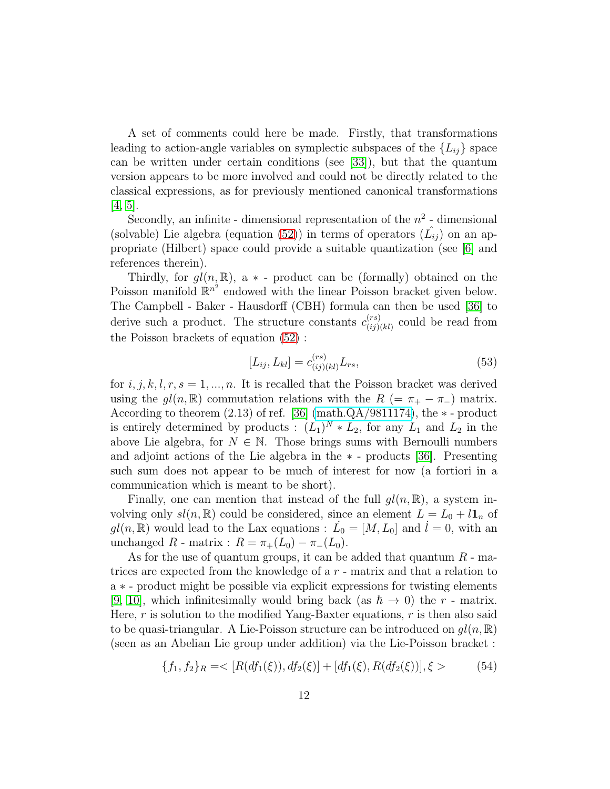A set of comments could here be made. Firstly, that transformations leading to action-angle variables on symplectic subspaces of the  $\{L_{ij}\}$  space can be written under certain conditions (see [\[33\]](#page-15-13)), but that the quantum version appears to be more involved and could not be directly related to the classical expressions, as for previously mentioned canonical transformations  $[4, 5]$  $[4, 5]$ .

Secondly, an infinite - dimensional representation of the  $n^2$  - dimensional (solvable) Lie algebra (equation [\(52\)](#page-11-1)) in terms of operators  $(\hat{L}_{ij})$  on an appropriate (Hilbert) space could provide a suitable quantization (see [\[6\]](#page-14-3) and references therein).

Thirdly, for  $gl(n, \mathbb{R})$ , a  $*$  - product can be (formally) obtained on the Poisson manifold  $\mathbb{R}^{n^2}$  endowed with the linear Poisson bracket given below. The Campbell - Baker - Hausdorff (CBH) formula can then be used [\[36\]](#page-16-2) to derive such a product. The structure constants  $c_{(ii)}^{(rs)}$  $\binom{(rs)}{(ij)(kl)}$  could be read from the Poisson brackets of equation [\(52\)](#page-11-1) :

$$
[L_{ij}, L_{kl}] = c_{(ij)(kl)}^{(rs)} L_{rs},
$$
\n(53)

for  $i, j, k, l, r, s = 1, ..., n$ . It is recalled that the Poisson bracket was derived using the  $gl(n, \mathbb{R})$  commutation relations with the  $R$  (=  $\pi_+ - \pi_-$ ) matrix. According to theorem  $(2.13)$  of ref. [\[36\]](#page-16-2) (math. $QA/9811174$ ), the  $*$ -product is entirely determined by products :  $(L_1)^N * L_2$ , for any  $L_1$  and  $L_2$  in the above Lie algebra, for  $N \in \mathbb{N}$ . Those brings sums with Bernoulli numbers and adjoint actions of the Lie algebra in the ∗ - products [\[36\]](#page-16-2). Presenting such sum does not appear to be much of interest for now (a fortiori in a communication which is meant to be short).

Finally, one can mention that instead of the full  $gl(n, \mathbb{R})$ , a system involving only  $sl(n, \mathbb{R})$  could be considered, since an element  $L = L_0 + l\mathbf{1}_n$  of  $gl(n, \mathbb{R})$  would lead to the Lax equations :  $\dot{L}_0 = [M, L_0]$  and  $\dot{l} = 0$ , with an unchanged R - matrix :  $R = \pi_+(L_0) - \pi_-(L_0)$ .

As for the use of quantum groups, it can be added that quantum  $R$  - matrices are expected from the knowledge of a  $r$  - matrix and that a relation to a ∗ - product might be possible via explicit expressions for twisting elements [\[9,](#page-14-6) [10\]](#page-14-7), which infinitesimally would bring back (as  $\hbar \rightarrow 0$ ) the r - matrix. Here,  $r$  is solution to the modified Yang-Baxter equations,  $r$  is then also said to be quasi-triangular. A Lie-Poisson structure can be introduced on  $gl(n, \mathbb{R})$ (seen as an Abelian Lie group under addition) via the Lie-Poisson bracket :

$$
\{f_1, f_2\}_R = \langle [R(df_1(\xi)), df_2(\xi)] + [df_1(\xi), R(df_2(\xi))], \xi \rangle \tag{54}
$$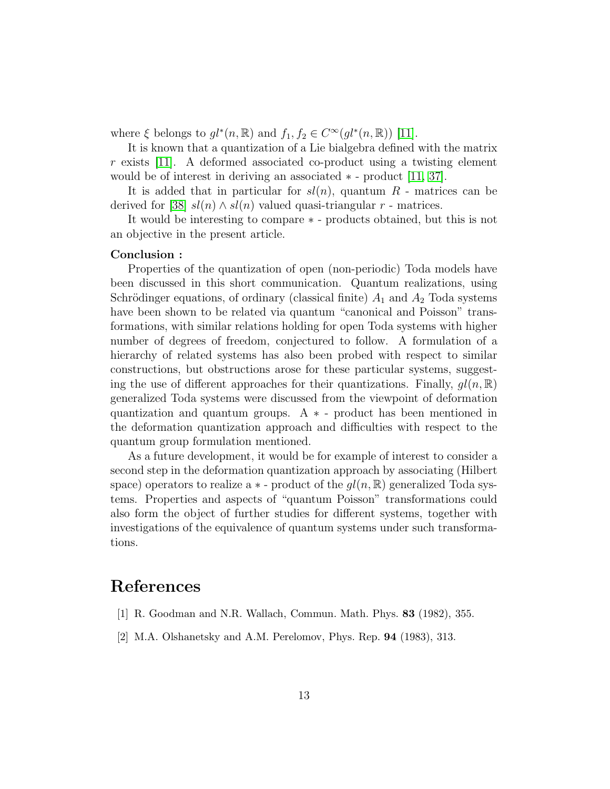where  $\xi$  belongs to  $gl^*(n, \mathbb{R})$  and  $f_1, f_2 \in C^\infty(gl^*(n, \mathbb{R}))$  [\[11\]](#page-14-8).

It is known that a quantization of a Lie bialgebra defined with the matrix r exists [\[11\]](#page-14-8). A deformed associated co-product using a twisting element would be of interest in deriving an associated ∗ - product [\[11,](#page-14-8) [37\]](#page-16-3).

It is added that in particular for  $sl(n)$ , quantum R - matrices can be derived for [\[38\]](#page-16-4)  $sl(n) \wedge sl(n)$  valued quasi-triangular r - matrices.

It would be interesting to compare ∗ - products obtained, but this is not an objective in the present article.

#### Conclusion :

Properties of the quantization of open (non-periodic) Toda models have been discussed in this short communication. Quantum realizations, using Schrödinger equations, of ordinary (classical finite)  $A_1$  and  $A_2$  Toda systems have been shown to be related via quantum "canonical and Poisson" transformations, with similar relations holding for open Toda systems with higher number of degrees of freedom, conjectured to follow. A formulation of a hierarchy of related systems has also been probed with respect to similar constructions, but obstructions arose for these particular systems, suggesting the use of different approaches for their quantizations. Finally,  $gl(n, \mathbb{R})$ generalized Toda systems were discussed from the viewpoint of deformation quantization and quantum groups.  $A * -$  product has been mentioned in the deformation quantization approach and difficulties with respect to the quantum group formulation mentioned.

As a future development, it would be for example of interest to consider a second step in the deformation quantization approach by associating (Hilbert space) operators to realize a  $*$  - product of the  $gl(n, \mathbb{R})$  generalized Toda systems. Properties and aspects of "quantum Poisson" transformations could also form the object of further studies for different systems, together with investigations of the equivalence of quantum systems under such transformations.

# <span id="page-13-0"></span>References

- <span id="page-13-1"></span>[1] R. Goodman and N.R. Wallach, Commun. Math. Phys. 83 (1982), 355.
- [2] M.A. Olshanetsky and A.M. Perelomov, Phys. Rep. 94 (1983), 313.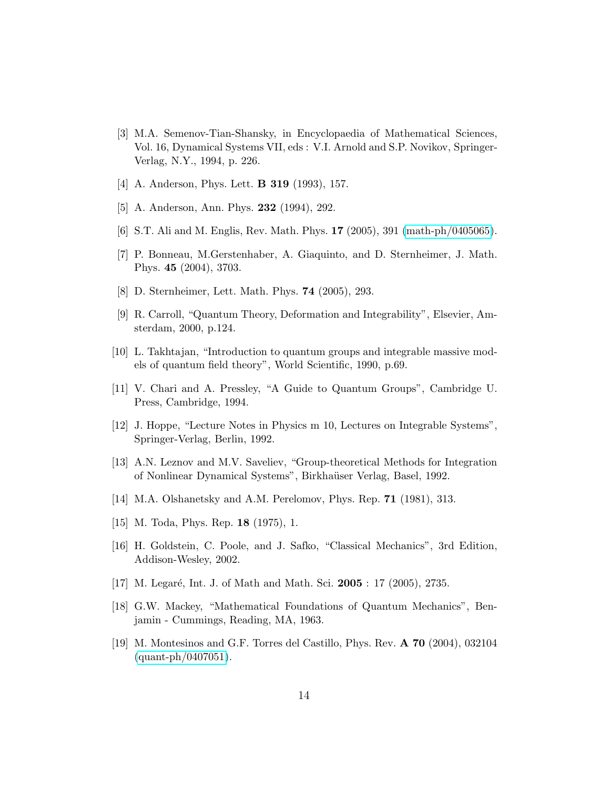- <span id="page-14-0"></span>[3] M.A. Semenov-Tian-Shansky, in Encyclopaedia of Mathematical Sciences, Vol. 16, Dynamical Systems VII, eds : V.I. Arnold and S.P. Novikov, Springer-Verlag, N.Y., 1994, p. 226.
- <span id="page-14-2"></span><span id="page-14-1"></span>[4] A. Anderson, Phys. Lett. B 319 (1993), 157.
- <span id="page-14-3"></span>[5] A. Anderson, Ann. Phys. **232** (1994), 292.
- <span id="page-14-4"></span>[6] S.T. Ali and M. Englis, Rev. Math. Phys. 17 (2005), 391 [\(math-ph/0405065\)](http://arxiv.org/abs/math-ph/0405065).
- <span id="page-14-5"></span>[7] P. Bonneau, M.Gerstenhaber, A. Giaquinto, and D. Sternheimer, J. Math. Phys. 45 (2004), 3703.
- <span id="page-14-6"></span>[8] D. Sternheimer, Lett. Math. Phys. 74 (2005), 293.
- <span id="page-14-7"></span>[9] R. Carroll, "Quantum Theory, Deformation and Integrability", Elsevier, Amsterdam, 2000, p.124.
- <span id="page-14-8"></span>[10] L. Takhtajan, "Introduction to quantum groups and integrable massive models of quantum field theory", World Scientific, 1990, p.69.
- <span id="page-14-9"></span>[11] V. Chari and A. Pressley, "A Guide to Quantum Groups", Cambridge U. Press, Cambridge, 1994.
- <span id="page-14-10"></span>[12] J. Hoppe, "Lecture Notes in Physics m 10, Lectures on Integrable Systems", Springer-Verlag, Berlin, 1992.
- <span id="page-14-11"></span>[13] A.N. Leznov and M.V. Saveliev, "Group-theoretical Methods for Integration of Nonlinear Dynamical Systems", Birkha¨user Verlag, Basel, 1992.
- <span id="page-14-12"></span>[14] M.A. Olshanetsky and A.M. Perelomov, Phys. Rep. **71** (1981), 313.
- <span id="page-14-13"></span>[15] M. Toda, Phys. Rep. **18** (1975), 1.
- <span id="page-14-14"></span>[16] H. Goldstein, C. Poole, and J. Safko, "Classical Mechanics", 3rd Edition, Addison-Wesley, 2002.
- <span id="page-14-15"></span>[17] M. Legaré, Int. J. of Math and Math. Sci. **2005** : 17 (2005), 2735.
- [18] G.W. Mackey, "Mathematical Foundations of Quantum Mechanics", Benjamin - Cummings, Reading, MA, 1963.
- <span id="page-14-16"></span>[19] M. Montesinos and G.F. Torres del Castillo, Phys. Rev. A 70 (2004), 032104  $(quant-ph/0407051).$  $(quant-ph/0407051).$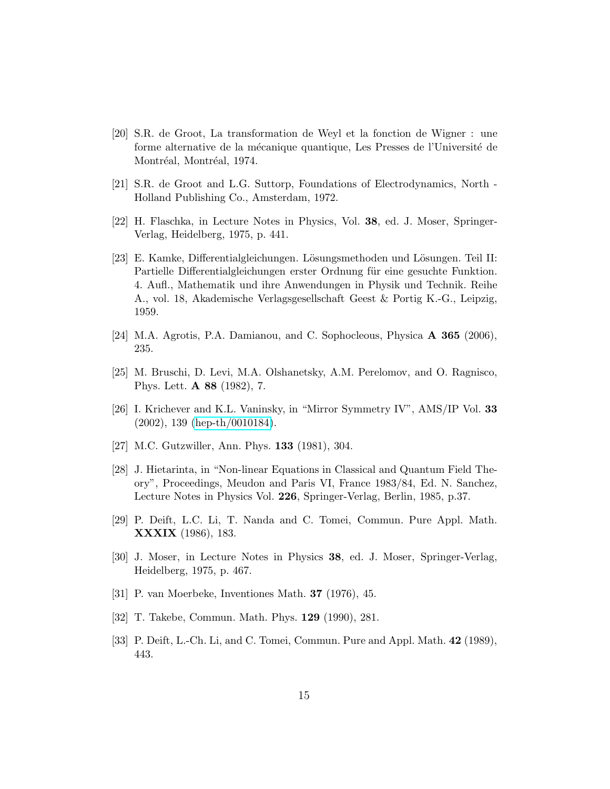- <span id="page-15-0"></span>[20] S.R. de Groot, La transformation de Weyl et la fonction de Wigner : une forme alternative de la mécanique quantique, Les Presses de l'Université de Montréal, Montréal, 1974.
- <span id="page-15-2"></span><span id="page-15-1"></span>[21] S.R. de Groot and L.G. Suttorp, Foundations of Electrodynamics, North - Holland Publishing Co., Amsterdam, 1972.
- <span id="page-15-3"></span>[22] H. Flaschka, in Lecture Notes in Physics, Vol. 38, ed. J. Moser, Springer-Verlag, Heidelberg, 1975, p. 441.
- [23] E. Kamke, Differentialgleichungen. Lösungsmethoden und Lösungen. Teil II: Partielle Differentialgleichungen erster Ordnung für eine gesuchte Funktion. 4. Aufl., Mathematik und ihre Anwendungen in Physik und Technik. Reihe A., vol. 18, Akademische Verlagsgesellschaft Geest & Portig K.-G., Leipzig, 1959.
- <span id="page-15-5"></span><span id="page-15-4"></span>[24] M.A. Agrotis, P.A. Damianou, and C. Sophocleous, Physica A 365 (2006), 235.
- <span id="page-15-6"></span>[25] M. Bruschi, D. Levi, M.A. Olshanetsky, A.M. Perelomov, and O. Ragnisco, Phys. Lett. A 88 (1982), 7.
- <span id="page-15-7"></span>[26] I. Krichever and K.L. Vaninsky, in "Mirror Symmetry IV", AMS/IP Vol. 33 (2002), 139 [\(hep-th/0010184\)](http://arxiv.org/abs/hep-th/0010184).
- <span id="page-15-8"></span>[27] M.C. Gutzwiller, Ann. Phys. **133** (1981), 304.
- [28] J. Hietarinta, in "Non-linear Equations in Classical and Quantum Field Theory", Proceedings, Meudon and Paris VI, France 1983/84, Ed. N. Sanchez, Lecture Notes in Physics Vol. 226, Springer-Verlag, Berlin, 1985, p.37.
- <span id="page-15-9"></span>[29] P. Deift, L.C. Li, T. Nanda and C. Tomei, Commun. Pure Appl. Math. XXXIX (1986), 183.
- <span id="page-15-10"></span>[30] J. Moser, in Lecture Notes in Physics 38, ed. J. Moser, Springer-Verlag, Heidelberg, 1975, p. 467.
- <span id="page-15-12"></span><span id="page-15-11"></span>[31] P. van Moerbeke, Inventiones Math. 37 (1976), 45.
- <span id="page-15-13"></span>[32] T. Takebe, Commun. Math. Phys. 129 (1990), 281.
- [33] P. Deift, L.-Ch. Li, and C. Tomei, Commun. Pure and Appl. Math. 42 (1989), 443.